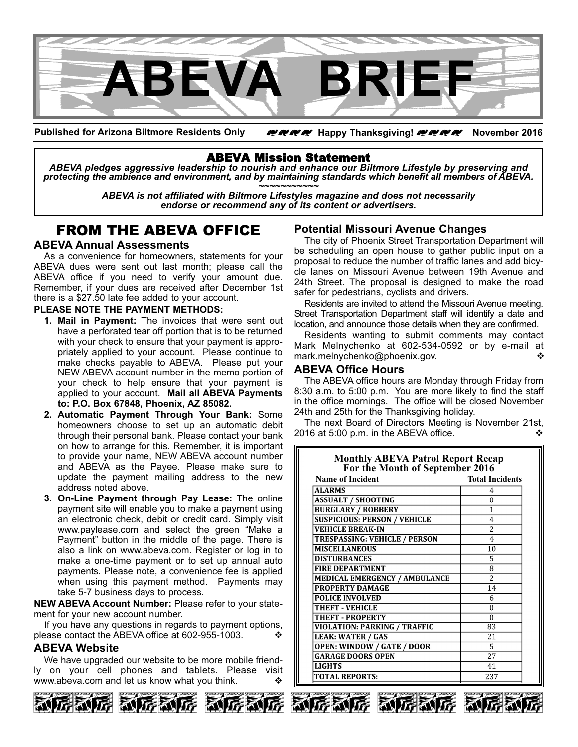

**Published for Arizona Biltmore Residents Only** zzzz **Happy Thanksgiving!** zzzz **November 2016**

## ABEVA Mission Statement

*ABEVA pledges aggressive leadership to nourish and enhance our Biltmore Lifestyle by preserving and* protecting the ambience and environment, and by maintaining standards which benefit all members of ABEVA.<br>ABEVA is not affiliated with Biltmore Lifestyles magazine and does not necessarily

*endorse or recommend any of its content or advertisers.*

## FROM THE ABEVA OFFICE

## **ABEVA Annual Assessments**

As a convenience for homeowners, statements for your ABEVA dues were sent out last month; please call the ABEVA office if you need to verify your amount due. Remember, if your dues are received after December 1st there is a \$27.50 late fee added to your account.

#### **PLEASE NOTE THE PAYMENT METHODS:**

- **1. Mail in Payment:** The invoices that were sent out have a perforated tear off portion that is to be returned with your check to ensure that your payment is appropriately applied to your account. Please continue to make checks payable to ABEVA. Please put your NEW ABEVA account number in the memo portion of your check to help ensure that your payment is applied to your account. **Mail all ABEVA Payments to: P.O. Box 67848, Phoenix, AZ 85082.**
- **2. Automatic Payment Through Your Bank:** Some homeowners choose to set up an automatic debit through their personal bank. Please contact your bank on how to arrange for this. Remember, it is important to provide your name, NEW ABEVA account number and ABEVA as the Payee. Please make sure to update the payment mailing address to the new address noted above.
- **3. OnLine Payment through Pay Lease:** The online payment site will enable you to make a payment using an electronic check, debit or credit card. Simply visit www.paylease.com and select the green "Make a Payment" button in the middle of the page. There is also a link on www.abeva.com. Register or log in to make a one-time payment or to set up annual auto payments. Please note, a convenience fee is applied when using this payment method. Payments may take 5-7 business days to process.

**NEW ABEVA Account Number:** Please refer to your statement for your new account number.

If you have any questions in regards to payment options, please contact the ABEVA office at 602-955-1003.

## **ABEVA Website**

We have upgraded our website to be more mobile friendly on your cell phones and tablets. Please visit www.abeva.com and let us know what you think.  $\cdot$ 



## **Potential Missouri Avenue Changes**

The city of Phoenix Street Transportation Department will be scheduling an open house to gather public input on a proposal to reduce the number of traffic lanes and add bicycle lanes on Missouri Avenue between 19th Avenue and 24th Street. The proposal is designed to make the road safer for pedestrians, cyclists and drivers.

Residents are invited to attend the Missouri Avenue meeting. Street Transportation Department staff will identify a date and location, and announce those details when they are confirmed.

Residents wanting to submit comments may contact Mark Melnychenko at 602-534-0592 or by e-mail at mark.melnychenko@phoenix.gov. v

## **ABEVA Office Hours**

The ABEVA office hours are Monday through Friday from 8:30 a.m. to 5:00 p.m. You are more likely to find the staff in the office mornings. The office will be closed November 24th and 25th for the Thanksgiving holiday.

The next Board of Directors Meeting is November 21st, 2016 at  $5:00$  p.m. in the ABEVA office.

**Monthly ABEVA Patrol Report Recap**

| <b>NORTHLY ADE VA PAIFOI REPOFT RECAP</b><br>For the Month of September 2016 |                        |  |
|------------------------------------------------------------------------------|------------------------|--|
| <b>Name of Incident</b>                                                      | <b>Total Incidents</b> |  |
| <b>ALARMS</b>                                                                | 4                      |  |
| <b>ASSUALT / SHOOTING</b>                                                    | $\Omega$               |  |
| <b>BURGLARY / ROBBERY</b>                                                    | 1                      |  |
| <b>SUSPICIOUS: PERSON / VEHICLE</b>                                          | 4                      |  |
| <b>VEHICLE BREAK-IN</b>                                                      | $\overline{2}$         |  |
| <b>TRESPASSING: VEHICLE / PERSON</b>                                         | 4                      |  |
| <b>MISCELLANEOUS</b>                                                         | 10                     |  |
| <b>DISTURBANCES</b>                                                          | 5                      |  |
| <b>FIRE DEPARTMENT</b>                                                       | 8                      |  |
| <b>MEDICAL EMERGENCY / AMBULANCE</b>                                         | $\overline{2}$         |  |
| <b>PROPERTY DAMAGE</b>                                                       | 14                     |  |
| <b>POLICE INVOLVED</b>                                                       | 6                      |  |
| THEFT - VEHICLE                                                              | $\Omega$               |  |
| <b>THEFT - PROPERTY</b>                                                      | $\Omega$               |  |
| <b>VIOLATION: PARKING / TRAFFIC</b>                                          | 83                     |  |
| <b>LEAK: WATER / GAS</b>                                                     | 21                     |  |
| <b>OPEN: WINDOW / GATE / DOOR</b>                                            | 5                      |  |
| <b>GARAGE DOORS OPEN</b>                                                     | 27                     |  |
| <b>LIGHTS</b>                                                                | 41                     |  |
| <b>TOTAL REPORTS:</b>                                                        | 237                    |  |





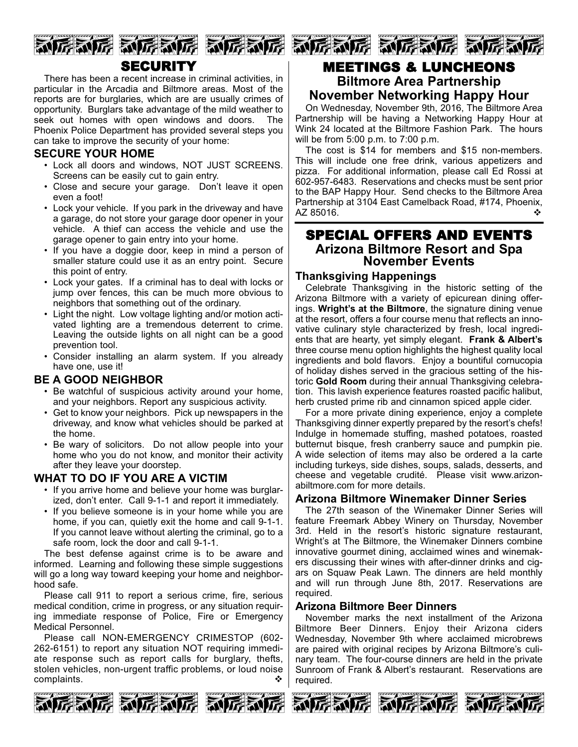

# **SECURITY**

There has been a recent increase in criminal activities, in particular in the Arcadia and Biltmore areas. Most of the reports are for burglaries, which are are usually crimes of opportunity. Burglars take advantage of the mild weather to seek out homes with open windows and doors. The Phoenix Police Department has provided several steps you can take to improve the security of your home:

## **SECURE YOUR HOME**

- Lock all doors and windows, NOT JUST SCREENS. Screens can be easily cut to gain entry.
- Close and secure your garage. Don't leave it open even a foot!
- Lock your vehicle. If you park in the driveway and have a garage, do not store your garage door opener in your vehicle. A thief can access the vehicle and use the garage opener to gain entry into your home.
- If you have a doggie door, keep in mind a person of smaller stature could use it as an entry point. Secure this point of entry.
- Lock your gates. If a criminal has to deal with locks or jump over fences, this can be much more obvious to neighbors that something out of the ordinary.
- Light the night. Low voltage lighting and/or motion activated lighting are a tremendous deterrent to crime. Leaving the outside lights on all night can be a good prevention tool.
- Consider installing an alarm system. If you already have one, use it!

## **BE A GOOD NEIGHBOR**

- Be watchful of suspicious activity around your home, and your neighbors. Report any suspicious activity.
- Get to know your neighbors. Pick up newspapers in the driveway, and know what vehicles should be parked at the home.
- Be wary of solicitors. Do not allow people into your home who you do not know, and monitor their activity after they leave your doorstep.

## **WHAT TO DO IF YOU ARE A VICTIM**

- If you arrive home and believe your home was burglarized, don't enter. Call 9-1-1 and report it immediately.
- If you believe someone is in your home while you are home, if you can, quietly exit the home and call 9-1-1. If you cannot leave without alerting the criminal, go to a safe room, lock the door and call 9-1-1.

The best defense against crime is to be aware and informed. Learning and following these simple suggestions will go a long way toward keeping your home and neighborhood safe.

Please call 911 to report a serious crime, fire, serious medical condition, crime in progress, or any situation requiring immediate response of Police, Fire or Emergency Medical Personnel.

Please call NON-EMERGENCY CRIMESTOP (602-262-6151) to report any situation NOT requiring immediate response such as report calls for burglary, thefts, stolen vehicles, non-urgent traffic problems, or loud noise complaints.  $\bullet$ 



## MEETINGS & LUNCHEONS **Biltmore Area Partnership November Networking Happy Hour**

On Wednesday, November 9th, 2016, The Biltmore Area Partnership will be having a Networking Happy Hour at Wink 24 located at the Biltmore Fashion Park. The hours will be from 5:00 p.m. to 7:00 p.m.

The cost is  $$14$  for members and  $$15$  non-members. This will include one free drink, various appetizers and pizza. For additional information, please call Ed Rossi at 602-957-6483. Reservations and checks must be sent prior to the BAP Happy Hour. Send checks to the Biltmore Area Partnership at 3104 East Camelback Road, #174, Phoenix, AZ 85016.

# SPECIAL OFFERS AND EVENTS **Arizona Biltmore Resort and Spa November Events**

## **Thanksgiving Happenings**

Celebrate Thanksgiving in the historic setting of the Arizona Biltmore with a variety of epicurean dining offerings. **Wright's at the Biltmore**, the signature dining venue at the resort, offers a four course menu that reflects an innovative culinary style characterized by fresh, local ingredients that are hearty, yet simply elegant. **Frank & Albert's** three course menu option highlights the highest quality local ingredients and bold flavors. Enjoy a bountiful cornucopia of holiday dishes served in the gracious setting of the historic **Gold Room** during their annual Thanksgiving celebration. This lavish experience features roasted pacific halibut, herb crusted prime rib and cinnamon spiced apple cider.

For a more private dining experience, enjoy a complete Thanksgiving dinner expertly prepared by the resort's chefs! Indulge in homemade stuffing, mashed potatoes, roasted butternut bisque, fresh cranberry sauce and pumpkin pie. A wide selection of items may also be ordered a la carte including turkeys, side dishes, soups, salads, desserts, and cheese and vegetable crudité. Please visit www.arizonabiltmore.com for more details.

## **Arizona Biltmore Winemaker Dinner Series**

The 27th season of the Winemaker Dinner Series will feature Freemark Abbey Winery on Thursday, November 3rd. Held in the resort's historic signature restaurant, Wright's at The Biltmore, the Winemaker Dinners combine innovative gourmet dining, acclaimed wines and winemakers discussing their wines with after-dinner drinks and cigars on Squaw Peak Lawn. The dinners are held monthly and will run through June 8th, 2017. Reservations are required.

## **Arizona Biltmore Beer Dinners**

November marks the next installment of the Arizona Biltmore Beer Dinners. Enjoy their Arizona ciders Wednesday, November 9th where acclaimed microbrews are paired with original recipes by Arizona Biltmore's culinary team. The four-course dinners are held in the private Sunroom of Frank & Albert's restaurant. Reservations are required.







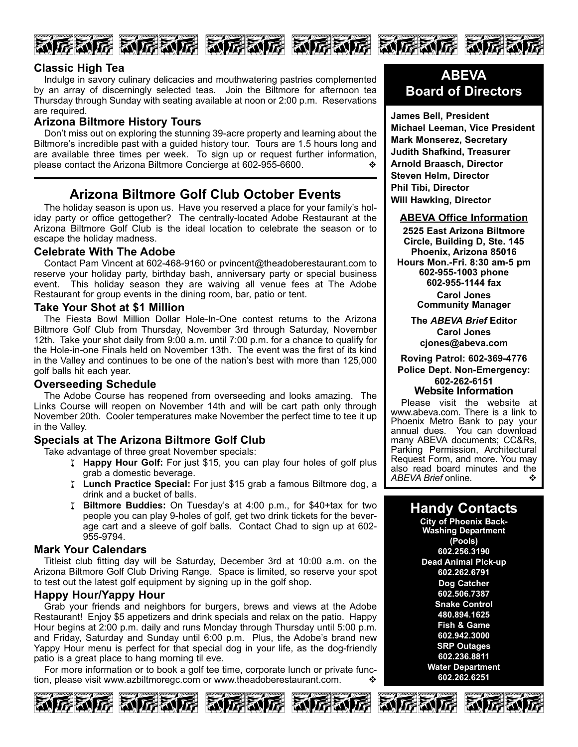







Indulge in savory culinary delicacies and mouthwatering pastries complemented by an array of discerningly selected teas. Join the Biltmore for afternoon tea Thursday through Sunday with seating available at noon or 2:00 p.m. Reservations are required.

## **Arizona Biltmore History Tours**

Don't miss out on exploring the stunning 39-acre property and learning about the Biltmore's incredible past with a guided history tour. Tours are 1.5 hours long and are available three times per week. To sign up or request further information, please contact the Arizona Biltmore Concierge at 602-955-6600.

## **Arizona Biltmore Golf Club October Events**

The holiday season is upon us. Have you reserved a place for your family's holiday party or office gettogether? The centrally-located Adobe Restaurant at the Arizona Biltmore Golf Club is the ideal location to celebrate the season or to escape the holiday madness.

## **Celebrate With The Adobe**

Contact Pam Vincent at 602-468-9160 or pvincent@theadoberestaurant.com to reserve your holiday party, birthday bash, anniversary party or special business event. This holiday season they are waiving all venue fees at The Adobe Restaurant for group events in the dining room, bar, patio or tent.

## **Take Your Shot at \$1 Million**

The Fiesta Bowl Million Dollar Hole-In-One contest returns to the Arizona Biltmore Golf Club from Thursday, November 3rd through Saturday, November 12th. Take your shot daily from 9:00 a.m. until 7:00 p.m. for a chance to qualify for the Hole-in-one Finals held on November 13th. The event was the first of its kind in the Valley and continues to be one of the nation's best with more than 125,000 golf balls hit each year.

## **Overseeding Schedule**

The Adobe Course has reopened from overseeding and looks amazing. The Links Course will reopen on November 14th and will be cart path only through November 20th. Cooler temperatures make November the perfect time to tee it up in the Valley.

## **Specials at The Arizona Biltmore Golf Club**

Take advantage of three great November specials:

- I Happy Hour Golf: For just \$15, you can play four holes of golf plus grab a domestic beverage.
- I Lunch Practice Special: For just \$15 grab a famous Biltmore dog, a drink and a bucket of balls.
- w **Biltmore Buddies:** On Tuesday's at 4:00 p.m., for \$40+tax for two people you can play 9-holes of golf, get two drink tickets for the beverage cart and a sleeve of golf balls. Contact Chad to sign up at 602 955-9794.

## **Mark Your Calendars**

Titleist club fitting day will be Saturday, December 3rd at 10:00 a.m. on the Arizona Biltmore Golf Club Driving Range. Space is limited, so reserve your spot to test out the latest golf equipment by signing up in the golf shop.

## **Happy Hour/Yappy Hour**

Grab your friends and neighbors for burgers, brews and views at the Adobe Restaurant! Enjoy \$5 appetizers and drink specials and relax on the patio. Happy Hour begins at 2:00 p.m. daily and runs Monday through Thursday until 5:00 p.m. and Friday, Saturday and Sunday until 6:00 p.m. Plus, the Adobe's brand new Yappy Hour menu is perfect for that special dog in your life, as the dog-friendly patio is a great place to hang morning til eve.

For more information or to book a golf tee time, corporate lunch or private function, please visit www.azbiltmoregc.com or www.theadoberestaurant.com.  $\cdot \cdot \cdot$ 









## **ABEVA Board of Directors**

**James Bell, President Michael Leeman, Vice President Mark Monserez, Secretary Judith Shafkind, Treasurer Arnold Braasch, Director Steven Helm, Director Phil Tibi, Director Will Hawking, Director**

### **ABEVA Office Information**

**2525 East Arizona Biltmore Circle, Building D, Ste. 145 Phoenix, Arizona 85016 Hours Mon.Fri. 8:30 am5 pm 6029551003 phone 6029551144 fax Carol Jones Community Manager**

> **The** *ABEVA Brief* **Editor Carol Jones cjones@abeva.com**

**Roving Patrol: 6023694776 Police Dept. Non-Emergency: 6022626151**

**Website Information**

Please visit the website at www.abeva.com. There is a link to Phoenix Metro Bank to pay your annual dues. You can download many ABEVA documents; CC&Rs, Parking Permission, Architectural Request Form, and more. You may also read board minutes and the  $ABFVA$  Brief online ABEVA Brief online.

## **Handy Contacts**

**City of Phoenix Back-Washing Department (Pools) 602.256.3190 Dead Animal Pick-up 602.262.6791 Dog Catcher 602.506.7387 Snake Control 480.894.1625 Fish & Game 602.942.3000 SRP Outages 602.236.8811 Water Department 602.262.6251**